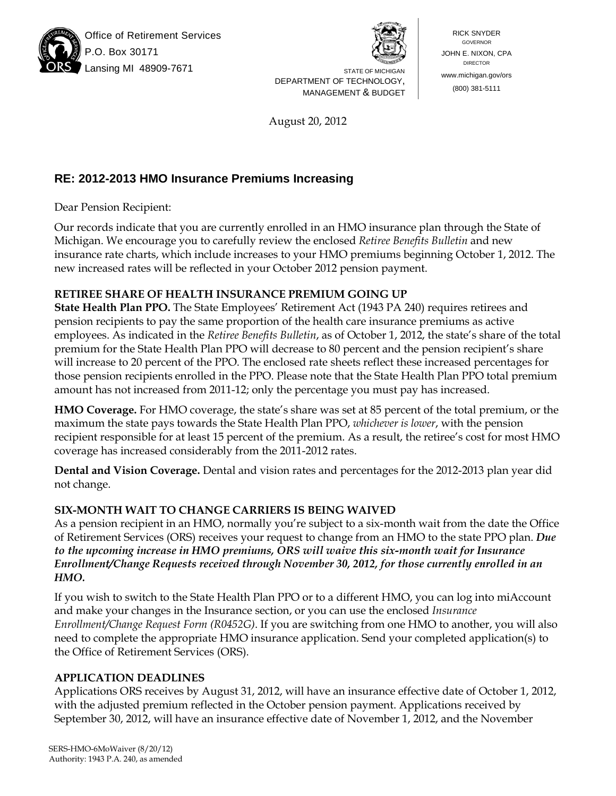

Office of Retirement Services O. Box 30171 Lansing MI 48909-7671 STATE OF MICHIGAN



DEPARTMENT OF TECHNOLOGY, MANAGEMENT & BUDGET

RICK SNYDER GOVERNOR JOHN E. NIXON, CPA DIRECTOR www.michigan.gov/ors (800) 381-5111

August 20, 2012

# **RE: 2012-2013 HMO Insurance Premiums Increasing**

Dear Pension Recipient:

Our records indicate that you are currently enrolled in an HMO insurance plan through the State of Michigan. We encourage you to carefully review the enclosed *Retiree Benefits Bulletin* and new insurance rate charts, which include increases to your HMO premiums beginning October 1, 2012. The new increased rates will be reflected in your October 2012 pension payment.

## **RETIREE SHARE OF HEALTH INSURANCE PREMIUM GOING UP**

**State Health Plan PPO.** The State Employees' Retirement Act (1943 PA 240) requires retirees and pension recipients to pay the same proportion of the health care insurance premiums as active employees. As indicated in the *Retiree Benefits Bulletin*, as of October 1, 2012, the state's share of the total premium for the State Health Plan PPO will decrease to 80 percent and the pension recipient's share will increase to 20 percent of the PPO. The enclosed rate sheets reflect these increased percentages for those pension recipients enrolled in the PPO. Please note that the State Health Plan PPO total premium amount has not increased from 2011-12; only the percentage you must pay has increased.

**HMO Coverage.** For HMO coverage, the state's share was set at 85 percent of the total premium, or the maximum the state pays towards the State Health Plan PPO, *whichever is lower*, with the pension recipient responsible for at least 15 percent of the premium. As a result, the retiree's cost for most HMO coverage has increased considerably from the 2011-2012 rates.

**Dental and Vision Coverage.** Dental and vision rates and percentages for the 2012-2013 plan year did not change.

## **SIX-MONTH WAIT TO CHANGE CARRIERS IS BEING WAIVED**

As a pension recipient in an HMO, normally you're subject to a six-month wait from the date the Office of Retirement Services (ORS) receives your request to change from an HMO to the state PPO plan. *Due to the upcoming increase in HMO premiums, ORS will waive this six-month wait for Insurance Enrollment/Change Requests received through November 30, 2012, for those currently enrolled in an HMO.*

If you wish to switch to the State Health Plan PPO or to a different HMO, you can log into miAccount and make your changes in the Insurance section, or you can use the enclosed *Insurance Enrollment/Change Request Form (R0452G)*. If you are switching from one HMO to another, you will also need to complete the appropriate HMO insurance application. Send your completed application(s) to the Office of Retirement Services (ORS).

#### **APPLICATION DEADLINES**

Applications ORS receives by August 31, 2012, will have an insurance effective date of October 1, 2012, with the adjusted premium reflected in the October pension payment. Applications received by September 30, 2012, will have an insurance effective date of November 1, 2012, and the November